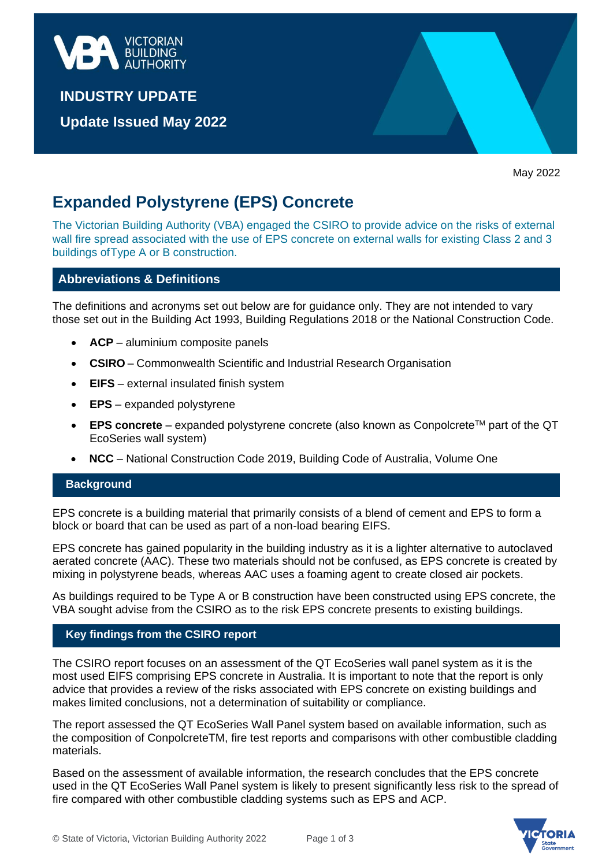

**INDUSTRY UPDATE** 

**Update Issued May 2022**

May 2022

# **Expanded Polystyrene (EPS) Concrete**

The Victorian Building Authority (VBA) engaged the CSIRO to provide advice on the risks of external wall fire spread associated with the use of EPS concrete on external walls for existing Class 2 and 3 buildings ofType A or B construction.

# **Abbreviations & Definitions**

The definitions and acronyms set out below are for guidance only. They are not intended to vary those set out in the Building Act 1993, Building Regulations 2018 or the National Construction Code.

- **ACP** aluminium composite panels
- **CSIRO** Commonwealth Scientific and Industrial Research Organisation
- **EIFS** external insulated finish system
- **EPS** expanded polystyrene
- $\bullet$  **EPS concrete** expanded polystyrene concrete (also known as Conpolcrete<sup>TM</sup> part of the QT EcoSeries wall system)
- **NCC** National Construction Code 2019, Building Code of Australia, Volume One

## **Background**

EPS concrete is a building material that primarily consists of a blend of cement and EPS to form a block or board that can be used as part of a non-load bearing EIFS.

EPS concrete has gained popularity in the building industry as it is a lighter alternative to autoclaved aerated concrete (AAC). These two materials should not be confused, as EPS concrete is created by mixing in polystyrene beads, whereas AAC uses a foaming agent to create closed air pockets.

As buildings required to be Type A or B construction have been constructed using EPS concrete, the VBA sought advise from the CSIRO as to the risk EPS concrete presents to existing buildings.

## **Key findings from the CSIRO report**

The CSIRO report focuses on an assessment of the QT EcoSeries wall panel system as it is the most used EIFS comprising EPS concrete in Australia. It is important to note that the report is only advice that provides a review of the risks associated with EPS concrete on existing buildings and makes limited conclusions, not a determination of suitability or compliance.

The report assessed the QT EcoSeries Wall Panel system based on available information, such as the composition of ConpolcreteTM, fire test reports and comparisons with other combustible cladding materials.

Based on the assessment of available information, the research concludes that the EPS concrete used in the QT EcoSeries Wall Panel system is likely to present significantly less risk to the spread of fire compared with other combustible cladding systems such as EPS and ACP.

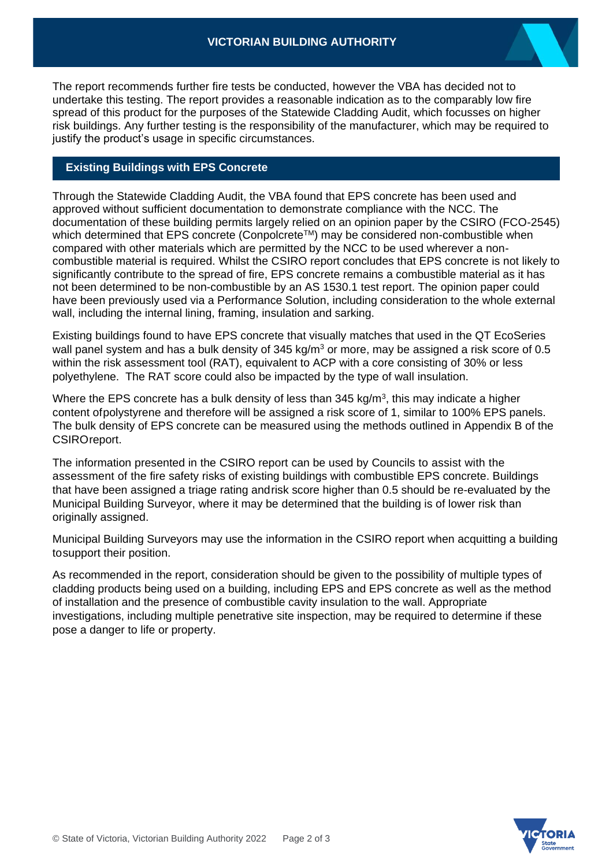The report recommends further fire tests be conducted, however the VBA has decided not to undertake this testing. The report provides a reasonable indication as to the comparably low fire spread of this product for the purposes of the Statewide Cladding Audit, which focusses on higher risk buildings. Any further testing is the responsibility of the manufacturer, which may be required to justify the product's usage in specific circumstances.

# **Existing Buildings with EPS Concrete**

Through the Statewide Cladding Audit, the VBA found that EPS concrete has been used and approved without sufficient documentation to demonstrate compliance with the NCC. The documentation of these building permits largely relied on an opinion paper by the CSIRO (FCO-2545) which determined that EPS concrete (Conpolcrete™) may be considered non-combustible when compared with other materials which are permitted by the NCC to be used wherever a noncombustible material is required. Whilst the CSIRO report concludes that EPS concrete is not likely to significantly contribute to the spread of fire, EPS concrete remains a combustible material as it has not been determined to be non-combustible by an AS 1530.1 test report. The opinion paper could have been previously used via a Performance Solution, including consideration to the whole external wall, including the internal lining, framing, insulation and sarking.

Existing buildings found to have EPS concrete that visually matches that used in the QT EcoSeries wall panel system and has a bulk density of  $345 \text{ kg/m}^3$  or more, may be assigned a risk score of 0.5 within the risk assessment tool (RAT), equivalent to ACP with a core consisting of 30% or less polyethylene. The RAT score could also be impacted by the type of wall insulation.

Where the EPS concrete has a bulk density of less than 345 kg/m<sup>3</sup>, this may indicate a higher content ofpolystyrene and therefore will be assigned a risk score of 1, similar to 100% EPS panels. The bulk density of EPS concrete can be measured using the methods outlined in Appendix B of the CSIROreport.

The information presented in the CSIRO report can be used by Councils to assist with the assessment of the fire safety risks of existing buildings with combustible EPS concrete. Buildings that have been assigned a triage rating andrisk score higher than 0.5 should be re-evaluated by the Municipal Building Surveyor, where it may be determined that the building is of lower risk than originally assigned.

Municipal Building Surveyors may use the information in the CSIRO report when acquitting a building tosupport their position.

As recommended in the report, consideration should be given to the possibility of multiple types of cladding products being used on a building, including EPS and EPS concrete as well as the method of installation and the presence of combustible cavity insulation to the wall. Appropriate investigations, including multiple penetrative site inspection, may be required to determine if these pose a danger to life or property.